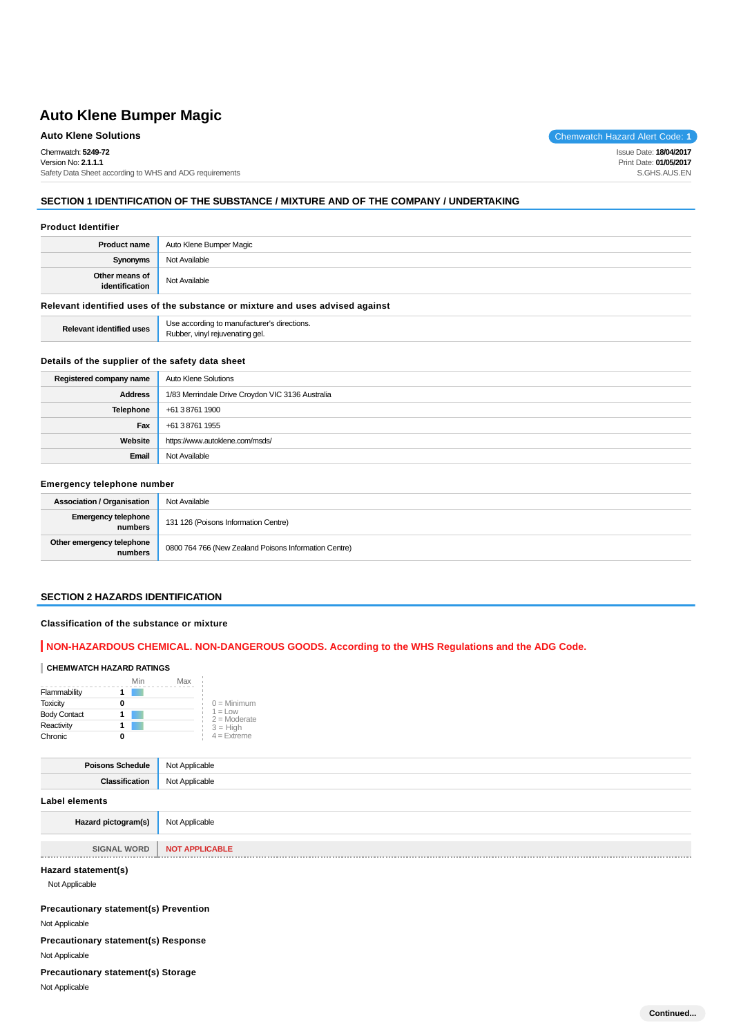# **Auto Klene Solutions** Chemwatch Hazard Alert Code: 1

Chemwatch: **5249-72**

Version No: **2.1.1.1** Safety Data Sheet according to WHS and ADG requirements

# **SECTION 1 IDENTIFICATION OF THE SUBSTANCE / MIXTURE AND OF THE COMPANY / UNDERTAKING**

#### **Product Identifier**

| Not Available<br>Synonyms                         |  |
|---------------------------------------------------|--|
|                                                   |  |
| Other means of<br>identification<br>Not Available |  |

## **Relevant identified uses of the substance or mixture and uses advised against**

**Relevant identified uses** Use according to manufacturer's directions. Rubber, vinyl rejuvenating gel.

#### **Details of the supplier of the safety data sheet**

| Registered company name | Auto Klene Solutions                             |
|-------------------------|--------------------------------------------------|
| <b>Address</b>          | 1/83 Merrindale Drive Croydon VIC 3136 Australia |
| <b>Telephone</b>        | +61 3 8761 1900                                  |
| Fax                     | +61 3 8761 1955                                  |
| Website                 | https://www.autoklene.com/msds/                  |
| Email                   | Not Available                                    |

#### **Emergency telephone number**

| <b>Association / Organisation</b>     | Not Available                                         |
|---------------------------------------|-------------------------------------------------------|
| <b>Emergency telephone</b><br>numbers | 131 126 (Poisons Information Centre)                  |
| Other emergency telephone<br>numbers  | 0800 764 766 (New Zealand Poisons Information Centre) |

#### **SECTION 2 HAZARDS IDENTIFICATION**

## **Classification of the substance or mixture**

## **NON-HAZARDOUS CHEMICAL. NON-DANGEROUS GOODS. According to the WHS Regulations and the ADG Code.**

#### **CHEMWATCH HAZARD RATINGS**

|                     | Min | Max |                             |
|---------------------|-----|-----|-----------------------------|
| Flammability        |     |     |                             |
| <b>Toxicity</b>     |     |     | $0 =$ Minimum               |
| <b>Body Contact</b> |     |     | $1 =$ Low<br>$2 =$ Moderate |
| Reactivity          |     |     | $3 = High$                  |
| Chronic             |     |     | $4 =$ Extreme               |

| <b>Poisons Schedule</b> | Not Applicable |
|-------------------------|----------------|
| <b>Classification</b>   | Not Applicable |
| Label elements          |                |
| Hazard pictogram(s)     | Not Applicable |

**SIGNAL WORD NOT APPLICABLE** 

#### **Hazard statement(s)**

Not Applicable

**Precautionary statement(s) Prevention**

Not Applicable

**Precautionary statement(s) Response**

Not Applicable

**Precautionary statement(s) Storage**

Not Applicable

Issue Date: **18/04/2017** Print Date: **01/05/2017** S.GHS.AUS.EN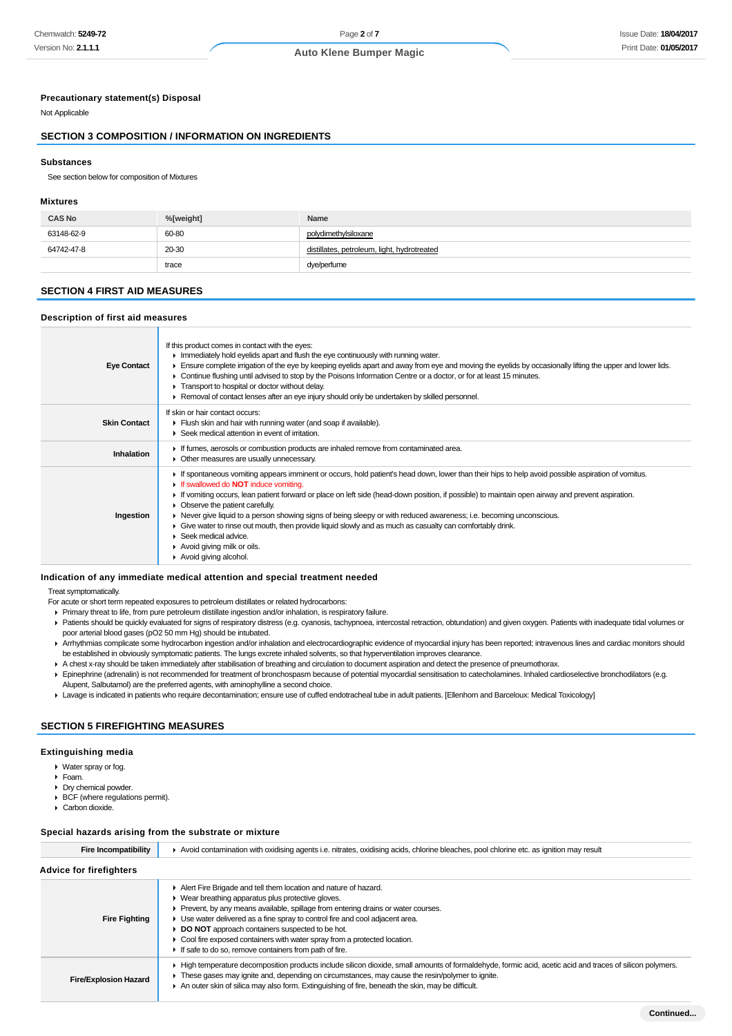#### **Precautionary statement(s) Disposal**

Not Applicable

## **SECTION 3 COMPOSITION / INFORMATION ON INGREDIENTS**

#### **Substances**

See section below for composition of Mixtures

#### **Mixtures**

| <b>CAS No</b> | %[weight] | Name                                        |
|---------------|-----------|---------------------------------------------|
| 63148-62-9    | 60-80     | polydimethylsiloxane                        |
| 64742-47-8    | 20-30     | distillates, petroleum, light, hydrotreated |
|               | trace     | dye/perfume                                 |

## **SECTION 4 FIRST AID MEASURES**

#### **Description of first aid measures**

| <b>Eye Contact</b>  | If this product comes in contact with the eyes:<br>In Immediately hold eyelids apart and flush the eye continuously with running water.<br>Ensure complete irrigation of the eye by keeping eyelids apart and away from eye and moving the eyelids by occasionally lifting the upper and lower lids.<br>► Continue flushing until advised to stop by the Poisons Information Centre or a doctor, or for at least 15 minutes.<br>Transport to hospital or doctor without delay.<br>► Removal of contact lenses after an eye injury should only be undertaken by skilled personnel.                                                                                                                                                    |
|---------------------|--------------------------------------------------------------------------------------------------------------------------------------------------------------------------------------------------------------------------------------------------------------------------------------------------------------------------------------------------------------------------------------------------------------------------------------------------------------------------------------------------------------------------------------------------------------------------------------------------------------------------------------------------------------------------------------------------------------------------------------|
| <b>Skin Contact</b> | If skin or hair contact occurs:<br>Flush skin and hair with running water (and soap if available).<br>▶ Seek medical attention in event of irritation.                                                                                                                                                                                                                                                                                                                                                                                                                                                                                                                                                                               |
| Inhalation          | If fumes, aerosols or combustion products are inhaled remove from contaminated area.<br>• Other measures are usually unnecessary.                                                                                                                                                                                                                                                                                                                                                                                                                                                                                                                                                                                                    |
| Ingestion           | If spontaneous vomiting appears imminent or occurs, hold patient's head down, lower than their hips to help avoid possible aspiration of vomitus.<br>If swallowed do <b>NOT</b> induce vomiting.<br>If vomiting occurs, lean patient forward or place on left side (head-down position, if possible) to maintain open airway and prevent aspiration.<br>• Observe the patient carefully.<br>► Never give liquid to a person showing signs of being sleepy or with reduced awareness; i.e. becoming unconscious.<br>• Give water to rinse out mouth, then provide liquid slowly and as much as casualty can comfortably drink.<br>$\blacktriangleright$ Seek medical advice.<br>▶ Avoid giving milk or oils.<br>Avoid giving alcohol. |

#### **Indication of any immediate medical attention and special treatment needed**

Treat symptomatically.

For acute or short term repeated exposures to petroleum distillates or related hydrocarbons:

- Primary threat to life, from pure petroleum distillate ingestion and/or inhalation, is respiratory failure.
- Patients should be quickly evaluated for signs of respiratory distress (e.g. cyanosis, tachypnoea, intercostal retraction, obtundation) and given oxygen. Patients with inadequate tidal volumes or poor arterial blood gases (pO2 50 mm Hg) should be intubated.
- Arrhythmias complicate some hydrocarbon ingestion and/or inhalation and electrocardiographic evidence of myocardial injury has been reported; intravenous lines and cardiac monitors should be established in obviously symptomatic patients. The lungs excrete inhaled solvents, so that hyperventilation improves clearance.
- A chest x-ray should be taken immediately after stabilisation of breathing and circulation to document aspiration and detect the presence of pneumothorax.
- Epinephrine (adrenalin) is not recommended for treatment of bronchospasm because of potential myocardial sensitisation to catecholamines. Inhaled cardioselective bronchodilators (e.g. Alupent, Salbutamol) are the preferred agents, with aminophylline a second choice.
- Lavage is indicated in patients who require decontamination; ensure use of cuffed endotracheal tube in adult patients. [Ellenhorn and Barceloux: Medical Toxicology]

## **SECTION 5 FIREFIGHTING MEASURES**

#### **Extinguishing media**

- Water spray or fog.
- Foam.
- Dry chemical powder.
- ▶ BCF (where regulations permit).
- ▶ Carbon dioxide.

#### **Special hazards arising from the substrate or mixture**

| <b>Fire Incompatibility</b>    | ► Avoid contamination with oxidising agents i.e. nitrates, oxidising acids, chlorine bleaches, pool chlorine etc. as ignition may result                                                                                                                                                                                                                                                                                                                                              |  |  |
|--------------------------------|---------------------------------------------------------------------------------------------------------------------------------------------------------------------------------------------------------------------------------------------------------------------------------------------------------------------------------------------------------------------------------------------------------------------------------------------------------------------------------------|--|--|
| <b>Advice for firefighters</b> |                                                                                                                                                                                                                                                                                                                                                                                                                                                                                       |  |  |
| <b>Fire Fighting</b>           | Alert Fire Brigade and tell them location and nature of hazard.<br>• Wear breathing apparatus plus protective gloves.<br>Prevent, by any means available, spillage from entering drains or water courses.<br>► Use water delivered as a fine spray to control fire and cool adjacent area.<br>DO NOT approach containers suspected to be hot.<br>• Cool fire exposed containers with water spray from a protected location.<br>If safe to do so, remove containers from path of fire. |  |  |
| <b>Fire/Explosion Hazard</b>   | ► High temperature decomposition products include silicon dioxide, small amounts of formaldehyde, formic acid, acetic acid and traces of silicon polymers.<br>These gases may ignite and, depending on circumstances, may cause the resin/polymer to ignite.<br>An outer skin of silica may also form. Extinguishing of fire, beneath the skin, may be difficult.                                                                                                                     |  |  |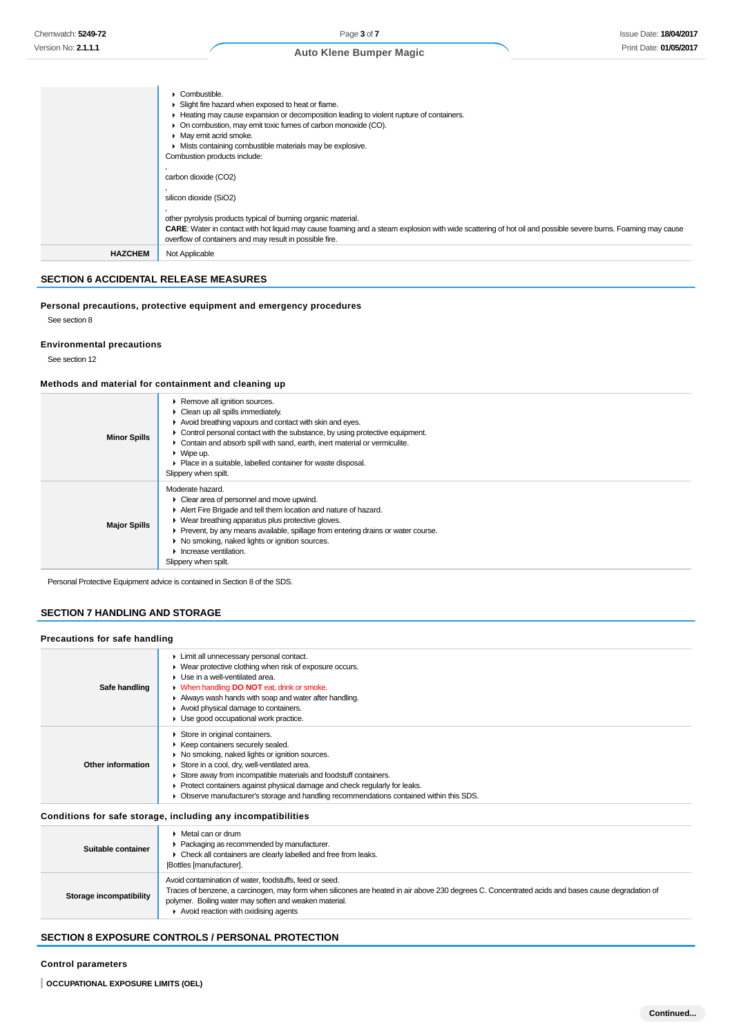|                | • Combustible.                                                                                                                                                                                                                      |
|----------------|-------------------------------------------------------------------------------------------------------------------------------------------------------------------------------------------------------------------------------------|
|                | ► Slight fire hazard when exposed to heat or flame.                                                                                                                                                                                 |
|                | ► Heating may cause expansion or decomposition leading to violent rupture of containers.                                                                                                                                            |
|                | • On combustion, may emit toxic fumes of carbon monoxide (CO).                                                                                                                                                                      |
|                | • May emit acrid smoke.                                                                                                                                                                                                             |
|                | • Mists containing combustible materials may be explosive.                                                                                                                                                                          |
|                | Combustion products include:                                                                                                                                                                                                        |
|                | carbon dioxide (CO2)                                                                                                                                                                                                                |
|                | silicon dioxide (SiO2)                                                                                                                                                                                                              |
|                | other pyrolysis products typical of burning organic material.<br><b>CARE:</b> Water in contact with hot liquid may cause foaming and a steam explosion with wide scattering of hot oil and possible severe burns. Foaming may cause |
|                | overflow of containers and may result in possible fire.                                                                                                                                                                             |
| <b>HAZCHEM</b> | Not Applicable                                                                                                                                                                                                                      |
|                |                                                                                                                                                                                                                                     |

# **SECTION 6 ACCIDENTAL RELEASE MEASURES**

# **Personal precautions, protective equipment and emergency procedures**

See section 8

**Environmental precautions**

See section 12

## **Methods and material for containment and cleaning up**

| <b>Minor Spills</b> | Remove all ignition sources.<br>$\triangleright$ Clean up all spills immediately.<br>Avoid breathing vapours and contact with skin and eyes.<br>• Control personal contact with the substance, by using protective equipment.<br>• Contain and absorb spill with sand, earth, inert material or vermiculite.<br>$\triangleright$ Wipe up.<br>▶ Place in a suitable, labelled container for waste disposal.<br>Slippery when spilt. |
|---------------------|------------------------------------------------------------------------------------------------------------------------------------------------------------------------------------------------------------------------------------------------------------------------------------------------------------------------------------------------------------------------------------------------------------------------------------|
| <b>Major Spills</b> | Moderate hazard.<br>$\triangleright$ Clear area of personnel and move upwind.<br>Alert Fire Brigade and tell them location and nature of hazard.<br>• Wear breathing apparatus plus protective gloves.<br>Prevent, by any means available, spillage from entering drains or water course.<br>• No smoking, naked lights or ignition sources.<br>$\blacktriangleright$ Increase ventilation.<br>Slippery when spilt.                |

Personal Protective Equipment advice is contained in Section 8 of the SDS.

# **SECTION 7 HANDLING AND STORAGE**

## **Precautions for safe handling**

| Safe handling     | Limit all unnecessary personal contact.<br>• Wear protective clothing when risk of exposure occurs.<br>$\blacktriangleright$ Use in a well-ventilated area.<br>• When handling <b>DO NOT</b> eat, drink or smoke.<br>Always wash hands with soap and water after handling.<br>Avoid physical damage to containers.<br>Use good occupational work practice.                                                         |
|-------------------|--------------------------------------------------------------------------------------------------------------------------------------------------------------------------------------------------------------------------------------------------------------------------------------------------------------------------------------------------------------------------------------------------------------------|
| Other information | Store in original containers.<br>▶ Keep containers securely sealed.<br>No smoking, naked lights or ignition sources.<br>Store in a cool, dry, well-ventilated area.<br>Store away from incompatible materials and foodstuff containers.<br>• Protect containers against physical damage and check regularly for leaks.<br>• Observe manufacturer's storage and handling recommendations contained within this SDS. |
|                   | Conditions for safe storage, including any incompatibilities                                                                                                                                                                                                                                                                                                                                                       |

| Suitable container      | $\blacktriangleright$ Metal can or drum<br>▶ Packaging as recommended by manufacturer.<br>• Check all containers are clearly labelled and free from leaks.<br><b>Bottles</b> [manufacturer].                                                                                                                                    |
|-------------------------|---------------------------------------------------------------------------------------------------------------------------------------------------------------------------------------------------------------------------------------------------------------------------------------------------------------------------------|
| Storage incompatibility | Avoid contamination of water, foodstuffs, feed or seed.<br>Traces of benzene, a carcinogen, may form when silicones are heated in air above 230 degrees C. Concentrated acids and bases cause degradation of<br>polymer. Boiling water may soften and weaken material.<br>$\triangleright$ Avoid reaction with oxidising agents |

# **SECTION 8 EXPOSURE CONTROLS / PERSONAL PROTECTION**

#### **Control parameters**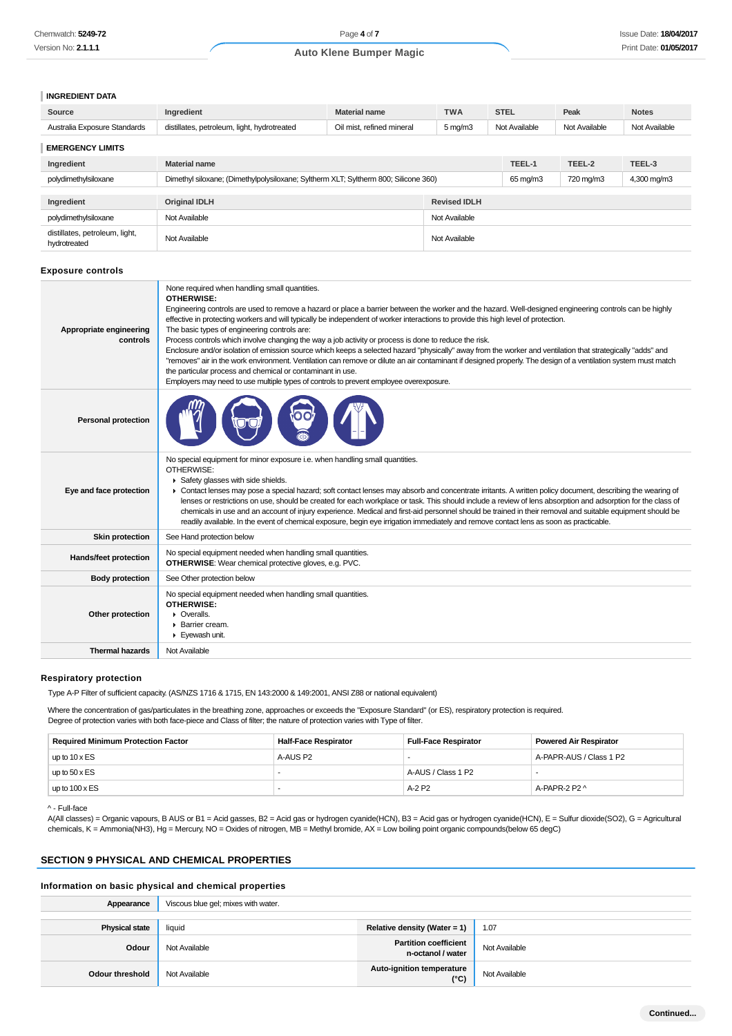#### **INGREDIENT DATA**

| Source                                         | <b>TWA</b><br><b>Material name</b><br>Ingredient                                    |                                                  |               | <b>STEL</b> | Peak          | <b>Notes</b>  |
|------------------------------------------------|-------------------------------------------------------------------------------------|--------------------------------------------------|---------------|-------------|---------------|---------------|
| Australia Exposure Standards                   | distillates, petroleum, light, hydrotreated                                         | Oil mist, refined mineral<br>$5 \,\mathrm{mg/m}$ |               |             | Not Available | Not Available |
| <b>EMERGENCY LIMITS</b>                        |                                                                                     |                                                  |               |             |               |               |
| Ingredient                                     | <b>Material name</b>                                                                |                                                  |               | TEEL-1      | TEEL-2        | TEEL-3        |
| polydimethylsiloxane                           | Dimethyl siloxane; (Dimethylpolysiloxane; Syltherm XLT; Syltherm 800; Silicone 360) |                                                  |               | 65 mg/m3    | 720 mg/m3     | 4,300 mg/m3   |
| Ingredient                                     | <b>Original IDLH</b>                                                                | <b>Revised IDLH</b>                              |               |             |               |               |
| polydimethylsiloxane                           | Not Available                                                                       |                                                  | Not Available |             |               |               |
| distillates, petroleum, light,<br>hydrotreated | Not Available                                                                       |                                                  | Not Available |             |               |               |

#### **Exposure controls**

| None required when handling small quantities.<br>OTHERWISE:<br>Engineering controls are used to remove a hazard or place a barrier between the worker and the hazard. Well-designed engineering controls can be highly<br>effective in protecting workers and will typically be independent of worker interactions to provide this high level of protection.<br>The basic types of engineering controls are:<br>Process controls which involve changing the way a job activity or process is done to reduce the risk.<br>Enclosure and/or isolation of emission source which keeps a selected hazard "physically" away from the worker and ventilation that strategically "adds" and<br>"removes" air in the work environment. Ventilation can remove or dilute an air contaminant if designed properly. The design of a ventilation system must match<br>the particular process and chemical or contaminant in use.<br>Employers may need to use multiple types of controls to prevent employee overexposure. |
|----------------------------------------------------------------------------------------------------------------------------------------------------------------------------------------------------------------------------------------------------------------------------------------------------------------------------------------------------------------------------------------------------------------------------------------------------------------------------------------------------------------------------------------------------------------------------------------------------------------------------------------------------------------------------------------------------------------------------------------------------------------------------------------------------------------------------------------------------------------------------------------------------------------------------------------------------------------------------------------------------------------|
|                                                                                                                                                                                                                                                                                                                                                                                                                                                                                                                                                                                                                                                                                                                                                                                                                                                                                                                                                                                                                |
| No special equipment for minor exposure i.e. when handling small quantities.<br>OTHERWISE:<br>Safety glasses with side shields.<br>► Contact lenses may pose a special hazard; soft contact lenses may absorb and concentrate irritants. A written policy document, describing the wearing of<br>lenses or restrictions on use, should be created for each workplace or task. This should include a review of lens absorption and adsorption for the class of<br>chemicals in use and an account of injury experience. Medical and first-aid personnel should be trained in their removal and suitable equipment should be<br>readily available. In the event of chemical exposure, begin eye irrigation immediately and remove contact lens as soon as practicable.                                                                                                                                                                                                                                           |
| See Hand protection below                                                                                                                                                                                                                                                                                                                                                                                                                                                                                                                                                                                                                                                                                                                                                                                                                                                                                                                                                                                      |
| No special equipment needed when handling small quantities.<br><b>OTHERWISE:</b> Wear chemical protective gloves, e.g. PVC.                                                                                                                                                                                                                                                                                                                                                                                                                                                                                                                                                                                                                                                                                                                                                                                                                                                                                    |
| See Other protection below                                                                                                                                                                                                                                                                                                                                                                                                                                                                                                                                                                                                                                                                                                                                                                                                                                                                                                                                                                                     |
| No special equipment needed when handling small quantities.<br><b>OTHERWISE:</b><br>• Overalls.<br>▶ Barrier cream.<br>Eyewash unit.                                                                                                                                                                                                                                                                                                                                                                                                                                                                                                                                                                                                                                                                                                                                                                                                                                                                           |
| Not Available                                                                                                                                                                                                                                                                                                                                                                                                                                                                                                                                                                                                                                                                                                                                                                                                                                                                                                                                                                                                  |
|                                                                                                                                                                                                                                                                                                                                                                                                                                                                                                                                                                                                                                                                                                                                                                                                                                                                                                                                                                                                                |

## **Respiratory protection**

Type A-P Filter of sufficient capacity. (AS/NZS 1716 & 1715, EN 143:2000 & 149:2001, ANSI Z88 or national equivalent)

Where the concentration of gas/particulates in the breathing zone, approaches or exceeds the "Exposure Standard" (or ES), respiratory protection is required. Degree of protection varies with both face-piece and Class of filter; the nature of protection varies with Type of filter.

| <b>Required Minimum Protection Factor</b> | <b>Half-Face Respirator</b> | <b>Full-Face Respirator</b> | <b>Powered Air Respirator</b> |
|-------------------------------------------|-----------------------------|-----------------------------|-------------------------------|
| up to $10 \times ES$                      | A-AUS P2                    |                             | A-PAPR-AUS / Class 1 P2       |
| up to $50 \times ES$                      |                             | A-AUS / Class 1 P2          |                               |
| up to $100 \times ES$                     |                             | A-2 P2                      | A-PAPR-2 P2 ^                 |

#### ^ - Full-face

A(All classes) = Organic vapours, B AUS or B1 = Acid gasses, B2 = Acid gas or hydrogen cyanide(HCN), B3 = Acid gas or hydrogen cyanide(HCN), E = Sulfur dioxide(SO2), G = Agricultural chemicals, K = Ammonia(NH3), Hg = Mercury, NO = Oxides of nitrogen, MB = Methyl bromide, AX = Low boiling point organic compounds(below 65 degC)

## **SECTION 9 PHYSICAL AND CHEMICAL PROPERTIES**

#### **Information on basic physical and chemical properties**

| Appearance            | Viscous blue gel; mixes with water. |                                            |               |
|-----------------------|-------------------------------------|--------------------------------------------|---------------|
| <b>Physical state</b> | liquid                              | Relative density (Water = 1)               | 1.07          |
| Odour                 | Not Available                       | Partition coefficient<br>n-octanol / water | Not Available |
| Odour threshold       | Not Available                       | Auto-ignition temperature<br>(C)           | Not Available |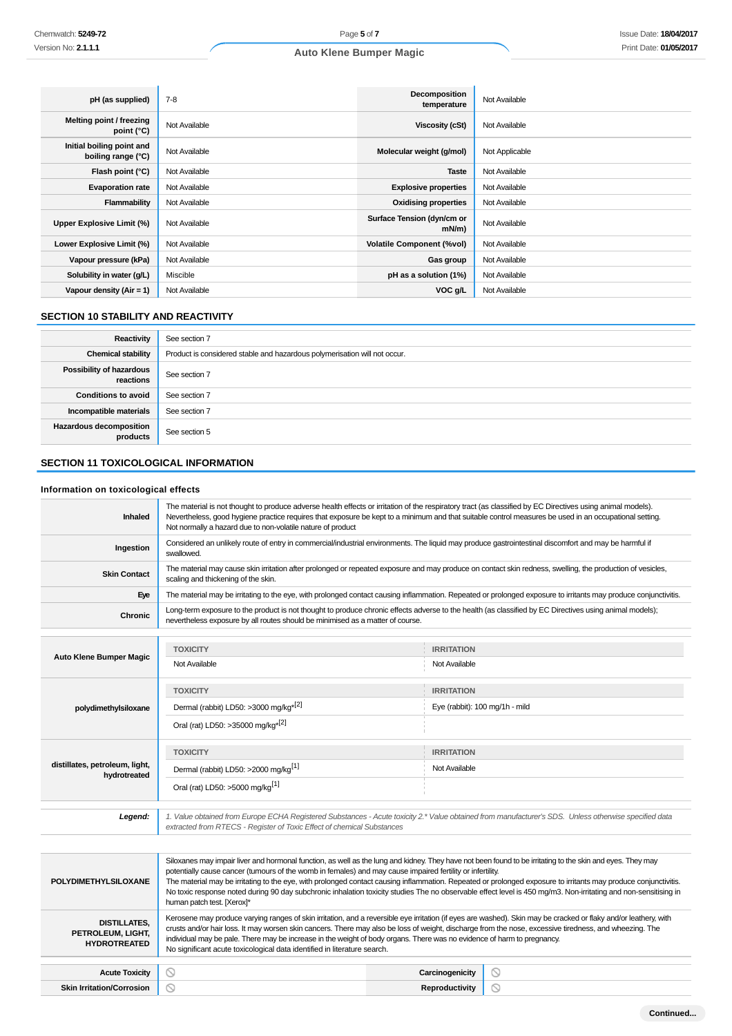| pH (as supplied)                                | $7-8$         | <b>Decomposition</b><br>temperature    | Not Available  |
|-------------------------------------------------|---------------|----------------------------------------|----------------|
| Melting point / freezing<br>point $(^{\circ}C)$ | Not Available | Viscosity (cSt)                        | Not Available  |
| Initial boiling point and<br>boiling range (°C) | Not Available | Molecular weight (g/mol)               | Not Applicable |
| Flash point (°C)                                | Not Available | <b>Taste</b>                           | Not Available  |
| <b>Evaporation rate</b>                         | Not Available | <b>Explosive properties</b>            | Not Available  |
| Flammability                                    | Not Available | <b>Oxidising properties</b>            | Not Available  |
| Upper Explosive Limit (%)                       | Not Available | Surface Tension (dyn/cm or<br>$mN/m$ ) | Not Available  |
| Lower Explosive Limit (%)                       | Not Available | <b>Volatile Component (%vol)</b>       | Not Available  |
| Vapour pressure (kPa)                           | Not Available | Gas group                              | Not Available  |
| Solubility in water (g/L)                       | Miscible      | pH as a solution (1%)                  | Not Available  |
| Vapour density (Air = 1)                        | Not Available | VOC g/L                                | Not Available  |

# **SECTION 10 STABILITY AND REACTIVITY**

| Reactivity                            | See section 7                                                             |
|---------------------------------------|---------------------------------------------------------------------------|
| <b>Chemical stability</b>             | Product is considered stable and hazardous polymerisation will not occur. |
| Possibility of hazardous<br>reactions | See section 7                                                             |
| <b>Conditions to avoid</b>            | See section 7                                                             |
| Incompatible materials                | See section 7                                                             |
| Hazardous decomposition<br>products   | See section 5                                                             |

# **SECTION 11 TOXICOLOGICAL INFORMATION**

## **Information on toxicological effects**

| <b>Inhaled</b>                                                  | The material is not thought to produce adverse health effects or irritation of the respiratory tract (as classified by EC Directives using animal models).<br>Nevertheless, good hygiene practice requires that exposure be kept to a minimum and that suitable control measures be used in an occupational setting.<br>Not normally a hazard due to non-volatile nature of product                                                                                                                                                                                                                                                          |                   |                                |
|-----------------------------------------------------------------|----------------------------------------------------------------------------------------------------------------------------------------------------------------------------------------------------------------------------------------------------------------------------------------------------------------------------------------------------------------------------------------------------------------------------------------------------------------------------------------------------------------------------------------------------------------------------------------------------------------------------------------------|-------------------|--------------------------------|
| Ingestion                                                       | Considered an unlikely route of entry in commercial/industrial environments. The liquid may produce gastrointestinal discomfort and may be harmful if<br>swallowed.                                                                                                                                                                                                                                                                                                                                                                                                                                                                          |                   |                                |
| <b>Skin Contact</b>                                             | The material may cause skin irritation after prolonged or repeated exposure and may produce on contact skin redness, swelling, the production of vesicles,<br>scaling and thickening of the skin.                                                                                                                                                                                                                                                                                                                                                                                                                                            |                   |                                |
| Eye                                                             | The material may be irritating to the eye, with prolonged contact causing inflammation. Repeated or prolonged exposure to irritants may produce conjunctivitis.                                                                                                                                                                                                                                                                                                                                                                                                                                                                              |                   |                                |
| Chronic                                                         | Long-term exposure to the product is not thought to produce chronic effects adverse to the health (as classified by EC Directives using animal models);<br>nevertheless exposure by all routes should be minimised as a matter of course.                                                                                                                                                                                                                                                                                                                                                                                                    |                   |                                |
|                                                                 |                                                                                                                                                                                                                                                                                                                                                                                                                                                                                                                                                                                                                                              |                   |                                |
| <b>Auto Klene Bumper Magic</b>                                  | <b>TOXICITY</b>                                                                                                                                                                                                                                                                                                                                                                                                                                                                                                                                                                                                                              | <b>IRRITATION</b> |                                |
|                                                                 | Not Available                                                                                                                                                                                                                                                                                                                                                                                                                                                                                                                                                                                                                                | Not Available     |                                |
|                                                                 | <b>TOXICITY</b>                                                                                                                                                                                                                                                                                                                                                                                                                                                                                                                                                                                                                              | <b>IRRITATION</b> |                                |
| polydimethylsiloxane                                            | Dermal (rabbit) LD50: >3000 mg/kg <sup>*[2]</sup>                                                                                                                                                                                                                                                                                                                                                                                                                                                                                                                                                                                            |                   | Eye (rabbit): 100 mg/1h - mild |
|                                                                 | Oral (rat) LD50: >35000 mg/kg <sup>*[2]</sup>                                                                                                                                                                                                                                                                                                                                                                                                                                                                                                                                                                                                |                   |                                |
|                                                                 | <b>TOXICITY</b>                                                                                                                                                                                                                                                                                                                                                                                                                                                                                                                                                                                                                              | <b>IRRITATION</b> |                                |
| distillates, petroleum, light,<br>hydrotreated                  | Dermal (rabbit) LD50: >2000 mg/kg <sup>[1]</sup><br>Not Available                                                                                                                                                                                                                                                                                                                                                                                                                                                                                                                                                                            |                   |                                |
|                                                                 | Oral (rat) LD50: >5000 mg/kg <sup>[1]</sup>                                                                                                                                                                                                                                                                                                                                                                                                                                                                                                                                                                                                  |                   |                                |
| Legend:                                                         | 1. Value obtained from Europe ECHA Registered Substances - Acute toxicity 2.* Value obtained from manufacturer's SDS. Unless otherwise specified data<br>extracted from RTECS - Register of Toxic Effect of chemical Substances                                                                                                                                                                                                                                                                                                                                                                                                              |                   |                                |
|                                                                 |                                                                                                                                                                                                                                                                                                                                                                                                                                                                                                                                                                                                                                              |                   |                                |
| <b>POLYDIMETHYLSILOXANE</b>                                     | Siloxanes may impair liver and hormonal function, as well as the lung and kidney. They have not been found to be irritating to the skin and eyes. They may<br>potentially cause cancer (tumours of the womb in females) and may cause impaired fertility or infertility.<br>The material may be irritating to the eye, with prolonged contact causing inflammation. Repeated or prolonged exposure to irritants may produce conjunctivitis.<br>No toxic response noted during 90 day subchronic inhalation toxicity studies The no observable effect level is 450 mg/m3. Non-irritating and non-sensitising in<br>human patch test. [Xerox]* |                   |                                |
| <b>DISTILLATES.</b><br>PETROLEUM, LIGHT,<br><b>HYDROTREATED</b> | Kerosene may produce varying ranges of skin irritation, and a reversible eye irritation (if eyes are washed). Skin may be cracked or flaky and/or leathery, with<br>crusts and/or hair loss. It may worsen skin cancers. There may also be loss of weight, discharge from the nose, excessive tiredness, and wheezing. The<br>individual may be pale. There may be increase in the weight of body organs. There was no evidence of harm to pregnancy.<br>No significant acute toxicological data identified in literature search.                                                                                                            |                   |                                |
| <b>Acute Toxicity</b>                                           | ⊙                                                                                                                                                                                                                                                                                                                                                                                                                                                                                                                                                                                                                                            | Carcinogenicity   | O                              |
| <b>Skin Irritation/Corrosion</b>                                | N                                                                                                                                                                                                                                                                                                                                                                                                                                                                                                                                                                                                                                            | Reproductivity    | O                              |
|                                                                 |                                                                                                                                                                                                                                                                                                                                                                                                                                                                                                                                                                                                                                              |                   |                                |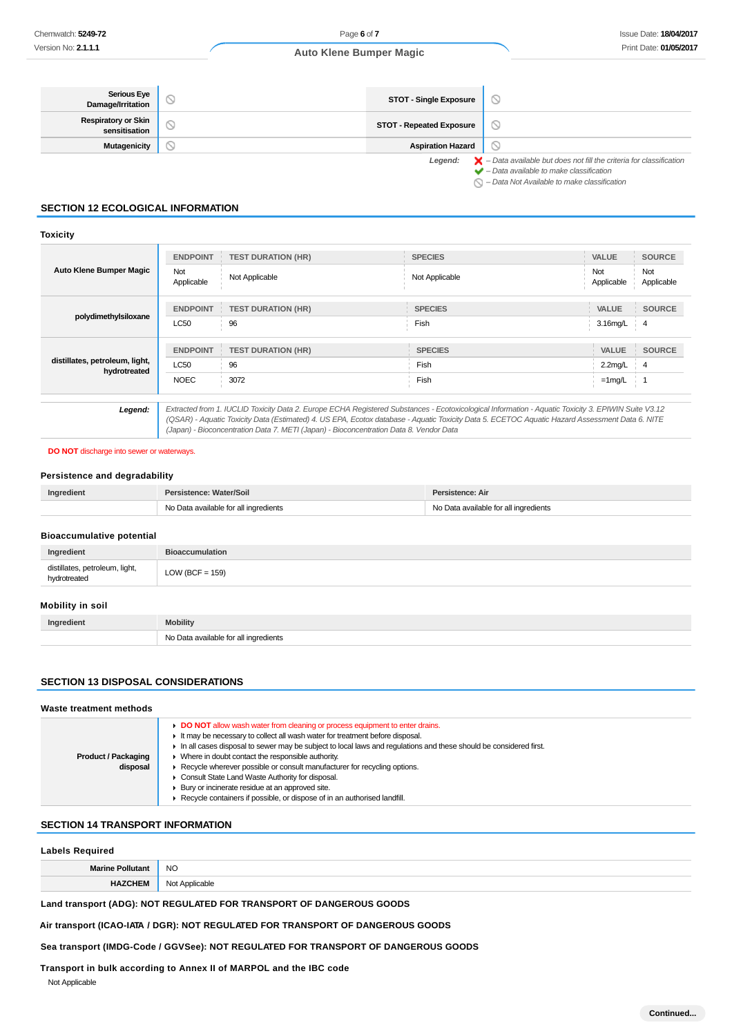| <b>Serious Eye</b><br>Damage/Irritation     | <b>STOT - Single Exposure</b>   |                                                                                                                                                                 |
|---------------------------------------------|---------------------------------|-----------------------------------------------------------------------------------------------------------------------------------------------------------------|
| <b>Respiratory or Skin</b><br>sensitisation | <b>STOT - Repeated Exposure</b> |                                                                                                                                                                 |
| Mutagenicity                                | <b>Aspiration Hazard</b>        |                                                                                                                                                                 |
|                                             |                                 | <b>Legend:</b> $\mathsf{X}$ – Data available but does not fill the criteria for classification<br>$\blacktriangleright$ - Data available to make classification |

 $\bigcirc$  – Data Not Available to make classification

# **SECTION 12 ECOLOGICAL INFORMATION**

## **Toxicity**

| <b>Auto Klene Bumper Magic</b>                 | <b>ENDPOINT</b>   | <b>TEST DURATION (HR)</b>                                                                                                                                                                                                                                                                                                                                                                       | <b>SPECIES</b> | <b>VALUE</b>      | <b>SOURCE</b>     |
|------------------------------------------------|-------------------|-------------------------------------------------------------------------------------------------------------------------------------------------------------------------------------------------------------------------------------------------------------------------------------------------------------------------------------------------------------------------------------------------|----------------|-------------------|-------------------|
|                                                | Not<br>Applicable | Not Applicable                                                                                                                                                                                                                                                                                                                                                                                  | Not Applicable | Not<br>Applicable | Not<br>Applicable |
|                                                | <b>ENDPOINT</b>   | <b>TEST DURATION (HR)</b>                                                                                                                                                                                                                                                                                                                                                                       | <b>SPECIES</b> | <b>VALUE</b>      | <b>SOURCE</b>     |
| polydimethylsiloxane                           | <b>LC50</b>       | 96                                                                                                                                                                                                                                                                                                                                                                                              | Fish           | 3.16mg/L          | $\frac{1}{2}$ 4   |
|                                                |                   |                                                                                                                                                                                                                                                                                                                                                                                                 |                |                   |                   |
|                                                | <b>ENDPOINT</b>   | <b>TEST DURATION (HR)</b>                                                                                                                                                                                                                                                                                                                                                                       | <b>SPECIES</b> | <b>VALUE</b>      | <b>SOURCE</b>     |
| distillates, petroleum, light,<br>hydrotreated | LC50              | 96                                                                                                                                                                                                                                                                                                                                                                                              | Fish           | $2.2$ mg/L        | 4                 |
|                                                | <b>NOEC</b>       | 3072                                                                                                                                                                                                                                                                                                                                                                                            | Fish           | $=1$ mg/L         |                   |
|                                                |                   |                                                                                                                                                                                                                                                                                                                                                                                                 |                |                   |                   |
| Legend:                                        |                   | Extracted from 1. IUCLID Toxicity Data 2. Europe ECHA Registered Substances - Ecotoxicological Information - Aquatic Toxicity 3. EPIWIN Suite V3.12<br>(QSAR) - Aquatic Toxicity Data (Estimated) 4. US EPA, Ecotox database - Aquatic Toxicity Data 5. ECETOC Aquatic Hazard Assessment Data 6. NITE<br>(Japan) - Bioconcentration Data 7. METI (Japan) - Bioconcentration Data 8. Vendor Data |                |                   |                   |

#### **DO NOT** discharge into sewer or waterways.

#### **Persistence and degradability**

| Ingredient | Persistence: Water/Soil               | Persistence: Air                                            |
|------------|---------------------------------------|-------------------------------------------------------------|
|            | No Data available for all ingredients | Data available for all ingredients<br><b>N<sub>IO</sub></b> |

#### **Bioaccumulative potential**

| Ingredient                                     | <b>Bioaccumulation</b> |
|------------------------------------------------|------------------------|
| distillates, petroleum, light,<br>hydrotreated | $LOW (BCF = 159)$      |
| Mobility in soil                               |                        |
| Ingredient                                     | <b>Mobility</b>        |

| NI.<br>.<br>- - |
|-----------------|

# **SECTION 13 DISPOSAL CONSIDERATIONS**

| Waste treatment methods                |                                                                                                                                                                                                                                                                                                                                                                                                                                                                                                                                                                                                                               |  |  |  |
|----------------------------------------|-------------------------------------------------------------------------------------------------------------------------------------------------------------------------------------------------------------------------------------------------------------------------------------------------------------------------------------------------------------------------------------------------------------------------------------------------------------------------------------------------------------------------------------------------------------------------------------------------------------------------------|--|--|--|
| <b>Product / Packaging</b><br>disposal | ► DO NOT allow wash water from cleaning or process equipment to enter drains.<br>It may be necessary to collect all wash water for treatment before disposal.<br>In all cases disposal to sewer may be subject to local laws and regulations and these should be considered first.<br>$\triangleright$ Where in doubt contact the responsible authority.<br>▶ Recycle wherever possible or consult manufacturer for recycling options.<br>Consult State Land Waste Authority for disposal.<br>▶ Bury or incinerate residue at an approved site.<br>▶ Recycle containers if possible, or dispose of in an authorised landfill. |  |  |  |

## **SECTION 14 TRANSPORT INFORMATION**

## **Labels Required**

| 88. | <b>NC</b> |
|-----|-----------|
|     |           |

# **Land transport (ADG): NOT REGULATED FOR TRANSPORT OF DANGEROUS GOODS**

# **Air transport (ICAO-IATA / DGR): NOT REGULATED FOR TRANSPORT OF DANGEROUS GOODS**

## **Sea transport (IMDG-Code / GGVSee): NOT REGULATED FOR TRANSPORT OF DANGEROUS GOODS**

# **Transport in bulk according to Annex II of MARPOL and the IBC code**

Not Applicable